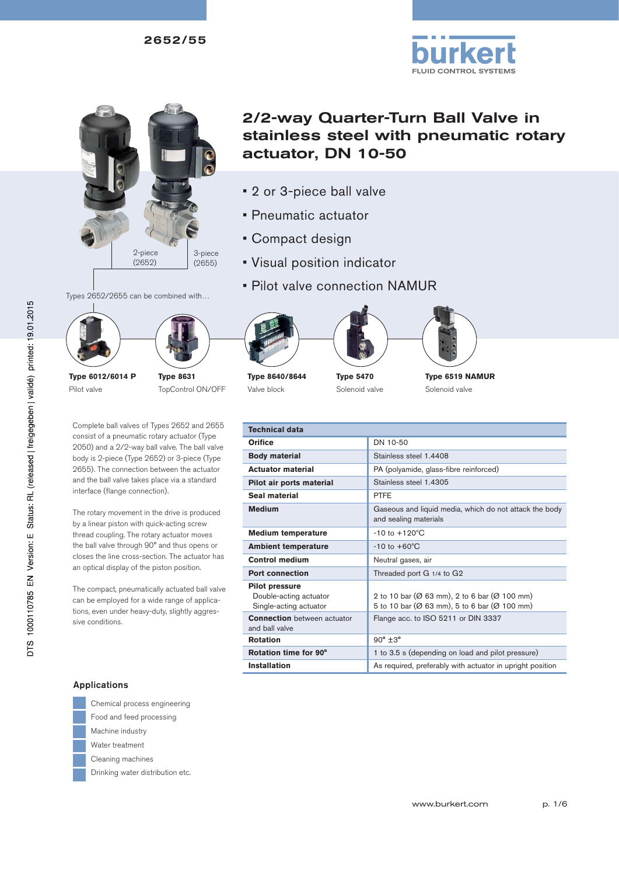

## Types 2652/2655 can be combined with…

**Type 6012/6014 P** Pilot valve

**Type 8631** TopControl ON/OFF

Complete ball valves of Types 2652 and 2655 consist of a pneumatic rotary actuator (Type 2050) and a 2/2-way ball valve. The ball valve body is 2-piece (Type 2652) or 3-piece (Type 2655). The connection between the actuator and the ball valve takes place via a standard interface (flange connection).

The rotary movement in the drive is produced by a linear piston with quick-acting screw thread coupling. The rotary actuator moves the ball valve through 90° and thus opens or closes the line cross-section. The actuator has an optical display of the piston position.

The compact, pneumatically actuated ball valve can be employed for a wide range of applications, even under heavy-duty, slightly aggressive conditions.



- 2 or 3-piece ball valve
- Pneumatic actuator
- Compact design
- Visual position indicator
- Pilot valve connection NAMUR







**Type 8640/8644** Valve block

**Type 5470** Solenoid valve

**Type 6519 NAMUR** Solenoid valve

**FLUID CONTROL SYSTEMS** 

| <b>Technical data</b>                                                     |                                                                                              |
|---------------------------------------------------------------------------|----------------------------------------------------------------------------------------------|
| <b>Orifice</b>                                                            | DN 10-50                                                                                     |
| <b>Body material</b>                                                      | Stainless steel 1.4408                                                                       |
| <b>Actuator material</b>                                                  | PA (polyamide, glass-fibre reinforced)                                                       |
| Pilot air ports material                                                  | Stainless steel 1.4305                                                                       |
| Seal material                                                             | <b>PTFE</b>                                                                                  |
| <b>Medium</b>                                                             | Gaseous and liquid media, which do not attack the body<br>and sealing materials              |
| <b>Medium temperature</b>                                                 | $-10$ to $+120^{\circ}$ C                                                                    |
| <b>Ambient temperature</b>                                                | $-10$ to $+60^{\circ}$ C                                                                     |
| <b>Control medium</b>                                                     | Neutral gases, air                                                                           |
| <b>Port connection</b>                                                    | Threaded port G 1/4 to G2                                                                    |
| <b>Pilot pressure</b><br>Double-acting actuator<br>Single-acting actuator | 2 to 10 bar (Ø 63 mm), 2 to 6 bar (Ø 100 mm)<br>5 to 10 bar (Ø 63 mm), 5 to 6 bar (Ø 100 mm) |
| <b>Connection</b> between actuator<br>and ball valve                      | Flange acc. to ISO 5211 or DIN 3337                                                          |
| <b>Rotation</b>                                                           | $90^\circ \pm 3^\circ$                                                                       |
| Rotation time for 90°                                                     | 1 to 3.5 s (depending on load and pilot pressure)                                            |
| <b>Installation</b>                                                       | As required, preferably with actuator in upright position                                    |

#### Applications

- 
- Chemical process engineering Food and feed processing
- Machine industry
- Water treatment
- Cleaning machines
- Drinking water distribution etc.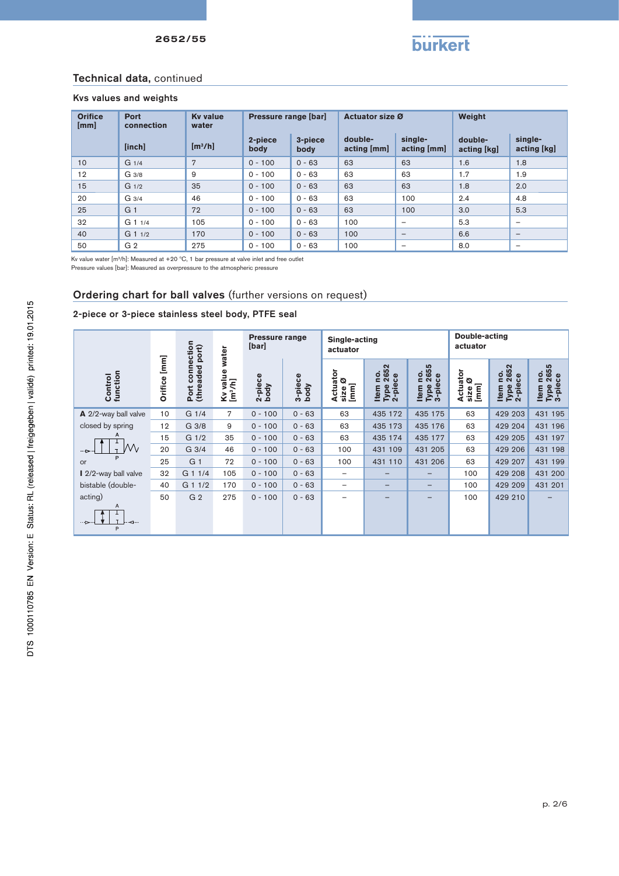

#### Technical data, continued

#### Kvs values and weights

| <b>Orifice</b><br>[mm] | <b>Port</b><br>connection | <b>Ky value</b><br>water | Pressure range [bar] |                 | <b>Actuator size Ø</b>   |                          | Weight                 |                          |
|------------------------|---------------------------|--------------------------|----------------------|-----------------|--------------------------|--------------------------|------------------------|--------------------------|
|                        | [inch]                    | [m <sup>3</sup> /h]      | 2-piece<br>body      | 3-piece<br>body | double-<br>$actual$ [mm] | single-<br>acting [mm]   | double-<br>acting [kg] | single-<br>acting [kg]   |
| 10                     | G <sub>1/4</sub>          | 7                        | $0 - 100$            | $0 - 63$        | 63                       | 63                       | 1.6                    | 1.8                      |
| 12                     | G 3/8                     | 9                        | $0 - 100$            | $0 - 63$        | 63                       | 63                       | 1.7                    | 1.9                      |
| 15                     | G <sub>1/2</sub>          | 35                       | $0 - 100$            | $0 - 63$        | 63                       | 63                       | 1.8                    | 2.0                      |
| 20                     | G <sub>3/4</sub>          | 46                       | $0 - 100$            | $0 - 63$        | 63                       | 100                      | 2.4                    | 4.8                      |
| 25                     | G <sub>1</sub>            | 72                       | $0 - 100$            | $0 - 63$        | 63                       | 100                      | 3.0                    | 5.3                      |
| 32                     | $G$ 1 $1/4$               | 105                      | $0 - 100$            | $0 - 63$        | 100                      | -                        | 5.3                    | -                        |
| 40                     | $G$ 1 $1/2$               | 170                      | $0 - 100$            | $0 - 63$        | 100                      | $\overline{\phantom{0}}$ | 6.6                    | $\overline{\phantom{0}}$ |
| 50                     | G <sub>2</sub>            | 275                      | $0 - 100$            | $0 - 63$        | 100                      | -                        | 8.0                    | $\overline{\phantom{0}}$ |

Kv value water [m3/h]: Measured at +20 ºC, 1 bar pressure at valve inlet and free outlet Pressure values [bar]: Measured as overpressure to the atmospheric pressure

## Ordering chart for ball valves (further versions on request)

#### 2-piece or 3-piece stainless steel body, PTFE seal

|                                     | $[mm] % \begin{minipage}[b]{0.5\linewidth} \centering \includegraphics[width=\linewidth]{images/STN1000.pdf} \caption{The image shows the number of different models. The number of different models are shown in the left and right.} \label{fig:STN0000} \end{minipage} \vspace{0.05in} \label{fig:STN00000}$<br>Orifice | connection<br>Port connection<br>(threaded port) | water<br>value<br>[m <sup>3</sup> /h]<br>Š | <b>Pressure range</b><br>[bar] |                 | Single-acting<br>actuator                                                                                                                                                                                                                                                                                                                                                                                                                                                                                                                                                                                                                                  |                                           |                                 | Double-acting<br>actuator     |                                             |                                                 |
|-------------------------------------|----------------------------------------------------------------------------------------------------------------------------------------------------------------------------------------------------------------------------------------------------------------------------------------------------------------------------|--------------------------------------------------|--------------------------------------------|--------------------------------|-----------------|------------------------------------------------------------------------------------------------------------------------------------------------------------------------------------------------------------------------------------------------------------------------------------------------------------------------------------------------------------------------------------------------------------------------------------------------------------------------------------------------------------------------------------------------------------------------------------------------------------------------------------------------------------|-------------------------------------------|---------------------------------|-------------------------------|---------------------------------------------|-------------------------------------------------|
| function<br>Control                 |                                                                                                                                                                                                                                                                                                                            |                                                  |                                            | 2-piece<br>body                | 3-piece<br>body | Actuator<br>ø<br>$[mm] % \begin{minipage}[b]{0.5\linewidth} \centering \centerline{\includegraphics[width=0.5\linewidth]{images/STN1000.pdf} \centerline{\includegraphics[width=0.5\linewidth]{images/STN1000.pdf} \centerline{\includegraphics[width=0.5\linewidth]{images/STN1000.pdf} \centerline{\includegraphics[width=0.5\linewidth]{images/STN1000.pdf} \centerline{\includegraphics[width=0.5\linewidth]{images/STN1000.pdf} \centerline{\includegraphics[width=0.5\linewidth]{images/STN1000.pdf} \centerline{\includegraphics[width=0.5\linewidth]{images/STN1000.pdf} \centerline{\includegraphics[width=0.5\linewidth]{images/STN1000$<br>size | 2652<br>ρ.<br>Type 26!<br>2-piece<br>Item | no.<br>2655<br>Type 265<br>Item | Actuator<br>ø<br>[mm]<br>size | 2652<br><u>o</u><br>2-piece<br>Item<br>Type | 2655<br><u>o</u><br>Type 26!<br>3-piece<br>Item |
| A 2/2-way ball valve                | 10                                                                                                                                                                                                                                                                                                                         | G <sub>1/4</sub>                                 | $\overline{7}$                             | $0 - 100$                      | $0 - 63$        | 63                                                                                                                                                                                                                                                                                                                                                                                                                                                                                                                                                                                                                                                         | 435 172                                   | 435 175                         | 63                            | 429 203                                     | 431 195                                         |
| closed by spring                    | 12                                                                                                                                                                                                                                                                                                                         | G 3/8                                            | 9                                          | $0 - 100$                      | $0 - 63$        | 63                                                                                                                                                                                                                                                                                                                                                                                                                                                                                                                                                                                                                                                         | 435 173                                   | 435 176                         | 63                            | 429 204                                     | 431 196                                         |
|                                     | 15                                                                                                                                                                                                                                                                                                                         | G <sub>1/2</sub>                                 | 35                                         | $0 - 100$                      | $0 - 63$        | 63                                                                                                                                                                                                                                                                                                                                                                                                                                                                                                                                                                                                                                                         | 435 174                                   | 435 177                         | 63                            | 429 205                                     | 431 197                                         |
| Μv<br>$\mathbf{r}$<br>$\rightarrow$ | 20                                                                                                                                                                                                                                                                                                                         | G 3/4                                            | 46                                         | $0 - 100$                      | $0 - 63$        | 100                                                                                                                                                                                                                                                                                                                                                                                                                                                                                                                                                                                                                                                        | 431 109                                   | 431 205                         | 63                            | 429 206                                     | 431 198                                         |
| or                                  | 25                                                                                                                                                                                                                                                                                                                         | G <sub>1</sub>                                   | 72                                         | $0 - 100$                      | $0 - 63$        | 100                                                                                                                                                                                                                                                                                                                                                                                                                                                                                                                                                                                                                                                        | 431 110                                   | 431 206                         | 63                            | 429 207                                     | 431 199                                         |
| 2/2-way ball valve                  | 32                                                                                                                                                                                                                                                                                                                         | G 1 1/4                                          | 105                                        | $0 - 100$                      | $0 - 63$        | $\qquad \qquad$                                                                                                                                                                                                                                                                                                                                                                                                                                                                                                                                                                                                                                            |                                           |                                 | 100                           | 429 208                                     | 431 200                                         |
| bistable (double-                   | 40                                                                                                                                                                                                                                                                                                                         | G 1 1/2                                          | 170                                        | $0 - 100$                      | $0 - 63$        | -                                                                                                                                                                                                                                                                                                                                                                                                                                                                                                                                                                                                                                                          | -                                         | $\qquad \qquad \blacksquare$    | 100                           | 429 209                                     | 431 201                                         |
| acting)                             | 50                                                                                                                                                                                                                                                                                                                         | G <sub>2</sub>                                   | 275                                        | $0 - 100$                      | $0 - 63$        | -                                                                                                                                                                                                                                                                                                                                                                                                                                                                                                                                                                                                                                                          | -                                         | $\qquad \qquad \blacksquare$    | 100                           | 429 210                                     |                                                 |
| Α<br>⊸<br>P                         |                                                                                                                                                                                                                                                                                                                            |                                                  |                                            |                                |                 |                                                                                                                                                                                                                                                                                                                                                                                                                                                                                                                                                                                                                                                            |                                           |                                 |                               |                                             |                                                 |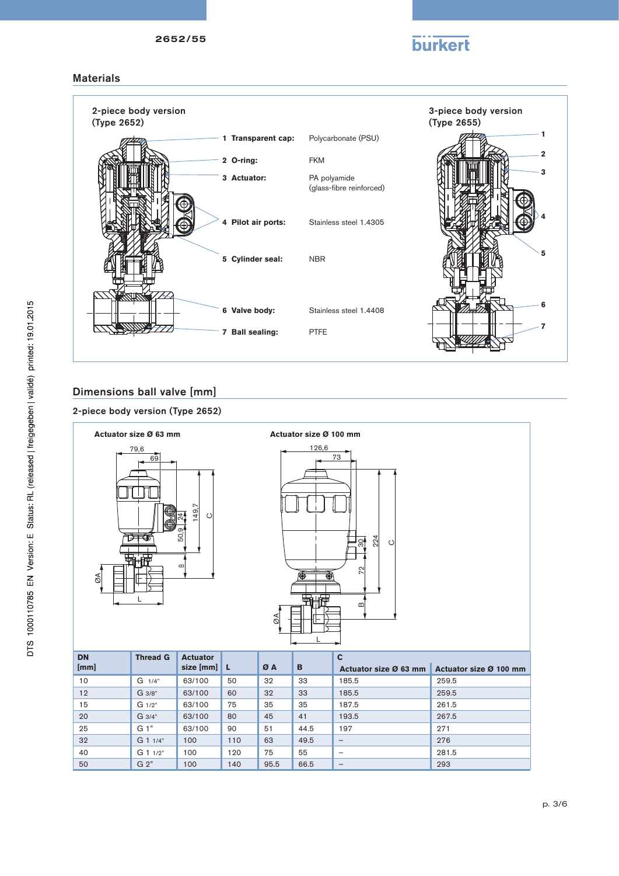# **burkert**

## **Materials**



## Dimensions ball valve [mm]

### 2-piece body version (Type 2652)





| <b>DN</b> | <b>Thread G</b> | <b>Actuator</b> |     |      |      | C                            |                        |
|-----------|-----------------|-----------------|-----|------|------|------------------------------|------------------------|
| [mm]      |                 | size $[mm]$ L   |     | ØA   | B    | Actuator size Ø 63 mm        | Actuator size Ø 100 mm |
| 10        | $G \frac{1}{4}$ | 63/100          | 50  | 32   | 33   | 185.5                        | 259.5                  |
| 12        | G 3/8"          | 63/100          | 60  | 32   | 33   | 185.5                        | 259.5                  |
| 15        | $G_1/2"$        | 63/100          | 75  | 35   | 35   | 187.5                        | 261.5                  |
| 20        | $G \frac{3}{4}$ | 63/100          | 80  | 45   | 41   | 193.5                        | 267.5                  |
| 25        | $G1$ "          | 63/100          | 90  | 51   | 44.5 | 197                          | 271                    |
| 32        | $G$ 1 $1/4"$    | 100             | 110 | 63   | 49.5 | $\qquad \qquad \blacksquare$ | 276                    |
| 40        | $G$ 1 $1/2"$    | 100             | 120 | 75   | 55   | $\overline{\phantom{0}}$     | 281.5                  |
| 50        | G <sub>2</sub>  | 100             | 140 | 95.5 | 66.5 | $\overline{\phantom{a}}$     | 293                    |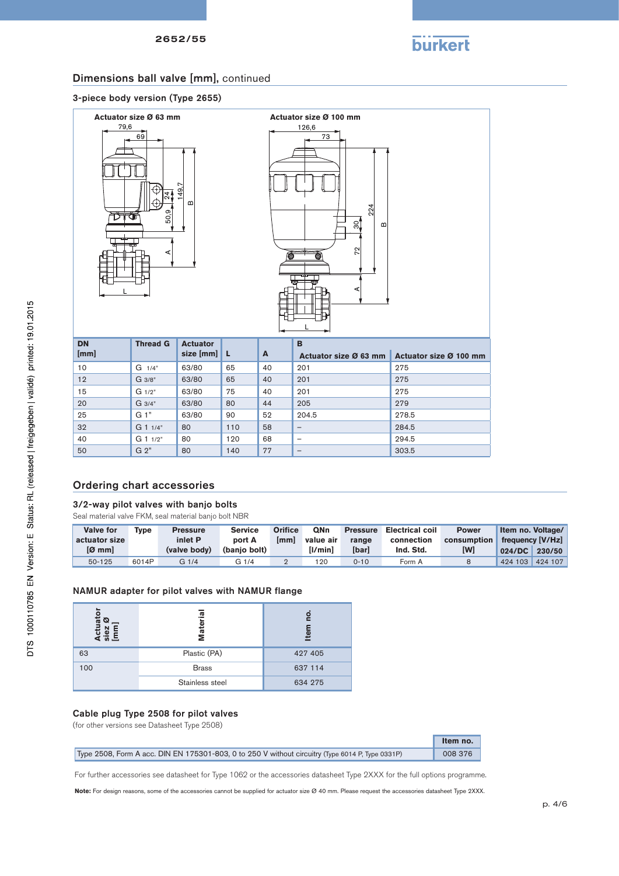

## Dimensions ball valve [mm], continued

#### 3-piece body version (Type 2655)





| <b>DN</b> | <b>Thread G</b> | <b>Actuator</b> |     |    | B                            |                        |
|-----------|-----------------|-----------------|-----|----|------------------------------|------------------------|
| [mm]      |                 | size $[mm]$ L   |     | A  | Actuator size Ø 63 mm        | Actuator size Ø 100 mm |
| 10        | $G \frac{1}{4}$ | 63/80           | 65  | 40 | 201                          | 275                    |
| 12        | G 3/8"          | 63/80           | 65  | 40 | 201                          | 275                    |
| 15        | $G_1/2"$        | 63/80           | 75  | 40 | 201                          | 275                    |
| 20        | G 3/4"          | 63/80           | 80  | 44 | 205                          | 279                    |
| 25        | G <sub>1</sub>  | 63/80           | 90  | 52 | 204.5                        | 278.5                  |
| 32        | G 1 1/4"        | 80              | 110 | 58 | $\qquad \qquad -$            | 284.5                  |
| 40        | $G$ 1 $1/2"$    | 80              | 120 | 68 | $\overline{\phantom{a}}$     | 294.5                  |
| 50        | G <sub>2</sub>  | 80              | 140 | 77 | $\qquad \qquad \blacksquare$ | 303.5                  |

## Ordering chart accessories

#### 3/2-way pilot valves with banjo bolts

Seal material valve FKM, seal material banjo bolt NBR

| <b>Valve for</b><br>actuator size | Tvpe  | <b>Pressure</b><br>inlet P | <b>Service</b><br>port A | Orifice<br><b>Imml</b> | <b>QNn</b><br>value air | <b>Pressure</b><br>range | <b>Electrical coil</b><br>connection | <b>Power</b><br>consumption | Item no. Voltage/ | frequency [V/Hz] |
|-----------------------------------|-------|----------------------------|--------------------------|------------------------|-------------------------|--------------------------|--------------------------------------|-----------------------------|-------------------|------------------|
| $[Ø$ mm                           |       | (valve body)               | (banio bolt)             |                        | [I/min]                 | <b>[bar]</b>             | Ind. Std.                            | [W]                         | $024/DC$ 230/50   |                  |
| $50 - 125$                        | 6014P | G1/4                       | G 1/4                    |                        | 120                     | $0 - 10$                 | Form A                               |                             | 424 103           | 424 107          |

#### NAMUR adapter for pilot valves with NAMUR flange

| iato<br>©<br>품 8 | Materia         | đ١      |
|------------------|-----------------|---------|
| 63               | Plastic (PA)    | 427 405 |
| 100              | <b>Brass</b>    | 637 114 |
|                  | Stainless steel | 634 275 |

#### Cable plug Type 2508 for pilot valves

(for other versions see Datasheet Type 2508)

|                                                                                                  | Item no. |
|--------------------------------------------------------------------------------------------------|----------|
| Type 2508, Form A acc. DIN EN 175301-803, 0 to 250 V without circuitry (Type 6014 P, Type 0331P) | 008 376  |

For further accessories see datasheet for Type 1062 or the accessories datasheet Type 2XXX for the full options programme.

**Note:** For design reasons, some of the accessories cannot be supplied for actuator size Ø 40 mm. Please request the accessories datasheet Type 2XXX.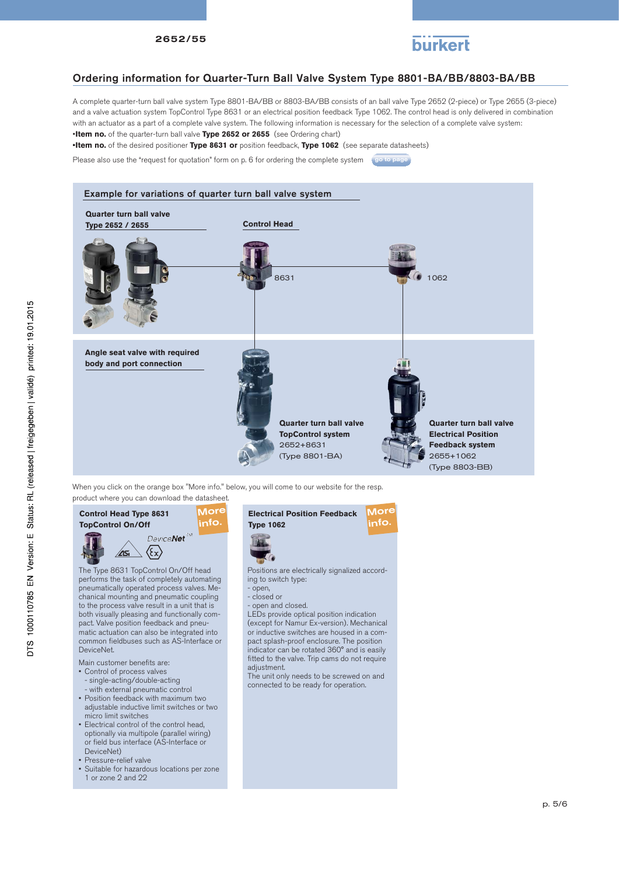

#### Ordering information for Quarter-Turn Ball Valve System Type 8801-BA/BB/8803-BA/BB

A complete quarter-turn ball valve system Type 8801-BA/BB or 8803-BA/BB consists of an ball valve Type 2652 (2-piece) or Type 2655 (3-piece) and a valve actuation system TopControl Type 8631 or an electrical position feedback Type 1062. The control head is only delivered in combination with an actuator as a part of a complete valve system. The following information is necessary for the selection of a complete valve system: •**Item no.** of the quarter-turn ball valve **Type 2652 or 2655** (see Ordering chart)

**•Item no.** of the desired positioner **Type 8631 or** position feedback, **Type 1062** (see separate datasheets)

Please also use the "request for quotation" form on p. 6 for ordering the complete system go to page



When you click on the orange box "More info." below, you will come to our website for the resp. product where you can download the datasheet.



chanical mounting and pneumatic coupling to the process valve result in a unit that is both visually pleasing and functionally compact. Valve position feedback and pneumatic actuation can also be integrated into common fieldbuses such as AS-Interface or DeviceNet.

- Main customer benefits are:
- Control of process valves
- single-acting/double-acting - with external pneumatic control
- Position feedback with maximum two adjustable inductive limit switches or two micro limit switches
- Electrical control of the control head, optionally via multipole (parallel wiring) or field bus interface (AS-Interface or DeviceNet)
- Pressure-relief valve
- Suitable for hazardous locations per zone 1 or zone 2 and 22



Positions are electrically signalized according to switch type:

- open,
- closed or
- open and closed.

LEDs provide optical position indication (except for Namur Ex-version). Mechanical or inductive switches are housed in a compact splash-proof enclosure. The position indicator can be rotated 360° and is easily fitted to the valve. Trip cams do not require adjustment.

The unit only needs to be screwed on and connected to be ready for operation.